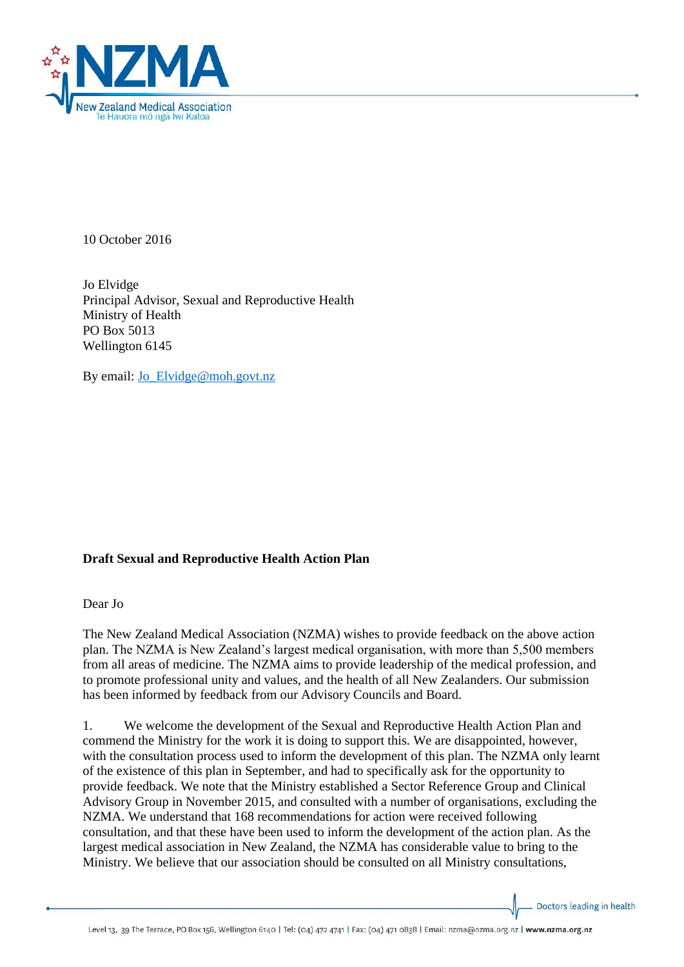

10 October 2016

Jo Elvidge Principal Advisor, Sexual and Reproductive Health Ministry of Health PO Box 5013 Wellington 6145

By email: Jo Elvidge@moh.govt.nz

## **Draft Sexual and Reproductive Health Action Plan**

Dear Jo

The New Zealand Medical Association (NZMA) wishes to provide feedback on the above action plan. The NZMA is New Zealand's largest medical organisation, with more than 5,500 members from all areas of medicine. The NZMA aims to provide leadership of the medical profession, and to promote professional unity and values, and the health of all New Zealanders. Our submission has been informed by feedback from our Advisory Councils and Board.

1. We welcome the development of the Sexual and Reproductive Health Action Plan and commend the Ministry for the work it is doing to support this. We are disappointed, however, with the consultation process used to inform the development of this plan. The NZMA only learnt of the existence of this plan in September, and had to specifically ask for the opportunity to provide feedback. We note that the Ministry established a Sector Reference Group and Clinical Advisory Group in November 2015, and consulted with a number of organisations, excluding the NZMA. We understand that 168 recommendations for action were received following consultation, and that these have been used to inform the development of the action plan. As the largest medical association in New Zealand, the NZMA has considerable value to bring to the Ministry. We believe that our association should be consulted on all Ministry consultations,

Doctors leading in health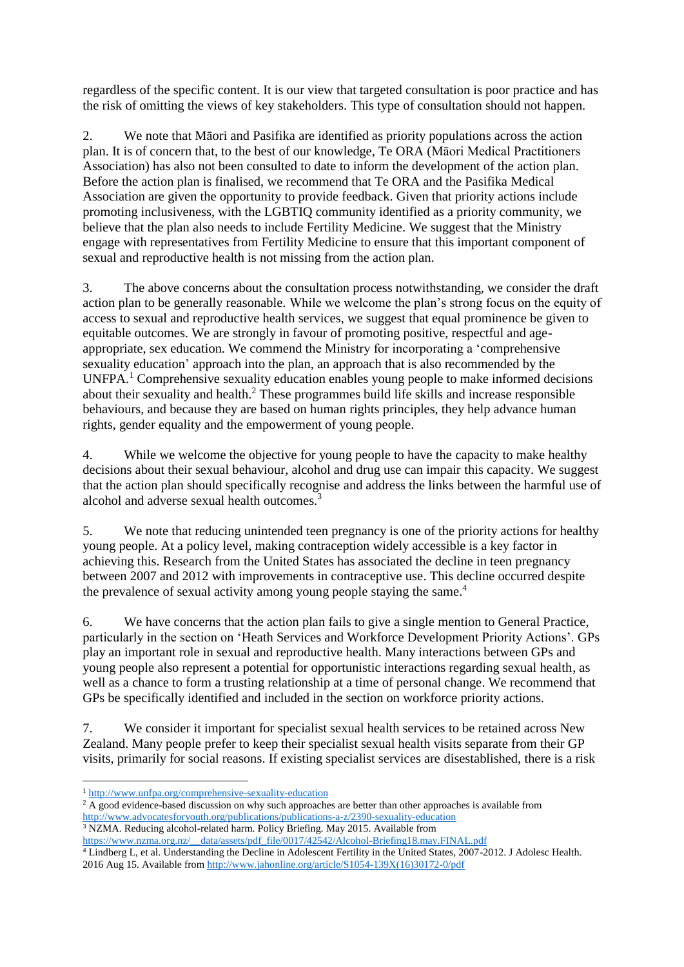regardless of the specific content. It is our view that targeted consultation is poor practice and has the risk of omitting the views of key stakeholders. This type of consultation should not happen.

2. We note that Māori and Pasifika are identified as priority populations across the action plan. It is of concern that, to the best of our knowledge, Te ORA (Māori Medical Practitioners Association) has also not been consulted to date to inform the development of the action plan. Before the action plan is finalised, we recommend that Te ORA and the Pasifika Medical Association are given the opportunity to provide feedback. Given that priority actions include promoting inclusiveness, with the LGBTIQ community identified as a priority community, we believe that the plan also needs to include Fertility Medicine. We suggest that the Ministry engage with representatives from Fertility Medicine to ensure that this important component of sexual and reproductive health is not missing from the action plan.

3. The above concerns about the consultation process notwithstanding, we consider the draft action plan to be generally reasonable. While we welcome the plan's strong focus on the equity of access to sexual and reproductive health services, we suggest that equal prominence be given to equitable outcomes. We are strongly in favour of promoting positive, respectful and ageappropriate, sex education. We commend the Ministry for incorporating a 'comprehensive sexuality education' approach into the plan, an approach that is also recommended by the UNFPA.<sup>1</sup> Comprehensive sexuality education enables young people to make informed decisions about their sexuality and health.<sup>2</sup> These programmes build life skills and increase responsible behaviours, and because they are based on human rights principles, they help advance human rights, gender equality and the empowerment of young people.

4. While we welcome the objective for young people to have the capacity to make healthy decisions about their sexual behaviour, alcohol and drug use can impair this capacity. We suggest that the action plan should specifically recognise and address the links between the harmful use of alcohol and adverse sexual health outcomes.<sup>3</sup>

5. We note that reducing unintended teen pregnancy is one of the priority actions for healthy young people. At a policy level, making contraception widely accessible is a key factor in achieving this. Research from the United States has associated the decline in teen pregnancy between 2007 and 2012 with improvements in contraceptive use. This decline occurred despite the prevalence of sexual activity among young people staying the same.<sup>4</sup>

6. We have concerns that the action plan fails to give a single mention to General Practice, particularly in the section on 'Heath Services and Workforce Development Priority Actions'. GPs play an important role in sexual and reproductive health. Many interactions between GPs and young people also represent a potential for opportunistic interactions regarding sexual health, as well as a chance to form a trusting relationship at a time of personal change. We recommend that GPs be specifically identified and included in the section on workforce priority actions.

7. We consider it important for specialist sexual health services to be retained across New Zealand. Many people prefer to keep their specialist sexual health visits separate from their GP visits, primarily for social reasons. If existing specialist services are disestablished, there is a risk

<sup>4</sup> Lindberg L, et al. Understanding the Decline in Adolescent Fertility in the United States, 2007-2012. J Adolesc Health. 2016 Aug 15. Available fro[m http://www.jahonline.org/article/S1054-139X\(16\)30172-0/pdf](http://www.jahonline.org/article/S1054-139X(16)30172-0/pdf)

**<sup>.</sup>** <sup>1</sup> <http://www.unfpa.org/comprehensive-sexuality-education>

<sup>&</sup>lt;sup>2</sup> A good evidence-based discussion on why such approaches are better than other approaches is available from <http://www.advocatesforyouth.org/publications/publications-a-z/2390-sexuality-education> <sup>3</sup> NZMA. Reducing alcohol-related harm. Policy Briefing. May 2015. Available from

[https://www.nzma.org.nz/\\_\\_data/assets/pdf\\_file/0017/42542/Alcohol-Briefing18.may.FINAL.pdf](https://www.nzma.org.nz/__data/assets/pdf_file/0017/42542/Alcohol-Briefing18.may.FINAL.pdf)